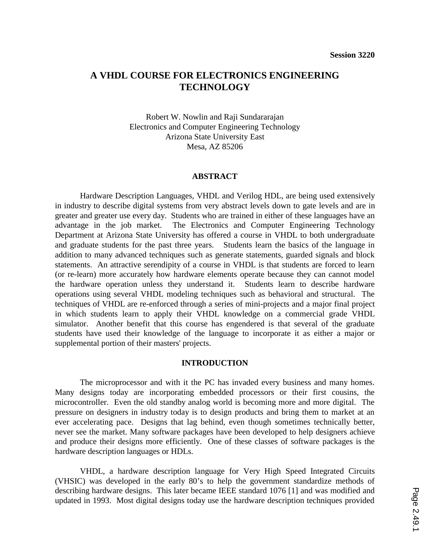# **A VHDL COURSE FOR ELECTRONICS ENGINEERING TECHNOLOGY**

Robert W. Nowlin and Raji Sundararajan Electronics and Computer Engineering Technology Arizona State University East Mesa, AZ 85206

#### **ABSTRACT**

Hardware Description Languages, VHDL and Verilog HDL, are being used extensively in industry to describe digital systems from very abstract levels down to gate levels and are in greater and greater use every day. Students who are trained in either of these languages have an advantage in the job market. The Electronics and Computer Engineering Technology Department at Arizona State University has offered a course in VHDL to both undergraduate and graduate students for the past three years. Students learn the basics of the language in addition to many advanced techniques such as generate statements, guarded signals and block statements. An attractive serendipity of a course in VHDL is that students are forced to learn (or re-learn) more accurately how hardware elements operate because they can cannot model the hardware operation unless they understand it. Students learn to describe hardware operations using several VHDL modeling techniques such as behavioral and structural. The techniques of VHDL are re-enforced through a series of mini-projects and a major final project in which students learn to apply their VHDL knowledge on a commercial grade VHDL simulator. Another benefit that this course has engendered is that several of the graduate students have used their knowledge of the language to incorporate it as either a major or supplemental portion of their masters' projects.

#### **INTRODUCTION**

The microprocessor and with it the PC has invaded every business and many homes. Many designs today are incorporating embedded processors or their first cousins, the microcontroller. Even the old standby analog world is becoming more and more digital. The pressure on designers in industry today is to design products and bring them to market at an ever accelerating pace. Designs that lag behind, even though sometimes technically better, never see the market. Many software packages have been developed to help designers achieve and produce their designs more efficiently. One of these classes of software packages is the hardware description languages or HDLs.

VHDL, a hardware description language for Very High Speed Integrated Circuits (VHSIC) was developed in the early 80's to help the government standardize methods of describing hardware designs. This later became IEEE standard 1076 [1] and was modified and updated in 1993. Most digital designs today use the hardware description techniques provided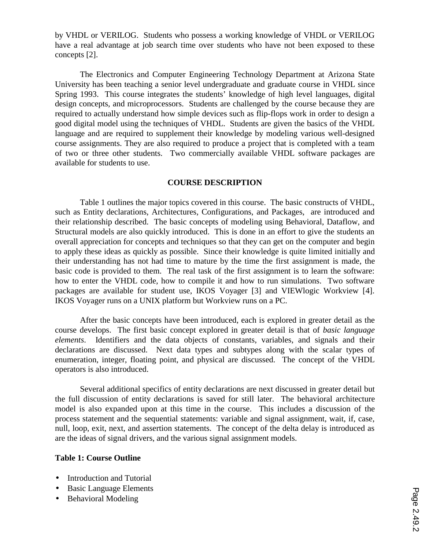by VHDL or VERILOG. Students who possess a working knowledge of VHDL or VERILOG have a real advantage at job search time over students who have not been exposed to these concepts [2].

The Electronics and Computer Engineering Technology Department at Arizona State University has been teaching a senior level undergraduate and graduate course in VHDL since Spring 1993. This course integrates the students' knowledge of high level languages, digital design concepts, and microprocessors. Students are challenged by the course because they are required to actually understand how simple devices such as flip-flops work in order to design a good digital model using the techniques of VHDL. Students are given the basics of the VHDL language and are required to supplement their knowledge by modeling various well-designed course assignments. They are also required to produce a project that is completed with a team of two or three other students. Two commercially available VHDL software packages are available for students to use.

#### **COURSE DESCRIPTION**

Table 1 outlines the major topics covered in this course. The basic constructs of VHDL, such as Entity declarations, Architectures, Configurations, and Packages, are introduced and their relationship described. The basic concepts of modeling using Behavioral, Dataflow, and Structural models are also quickly introduced. This is done in an effort to give the students an overall appreciation for concepts and techniques so that they can get on the computer and begin to apply these ideas as quickly as possible. Since their knowledge is quite limited initially and their understanding has not had time to mature by the time the first assignment is made, the basic code is provided to them. The real task of the first assignment is to learn the software: how to enter the VHDL code, how to compile it and how to run simulations. Two software packages are available for student use, IKOS Voyager [3] and VIEWlogic Workview [4]. IKOS Voyager runs on a UNIX platform but Workview runs on a PC.

After the basic concepts have been introduced, each is explored in greater detail as the course develops. The first basic concept explored in greater detail is that of *basic language elements*. Identifiers and the data objects of constants, variables, and signals and their declarations are discussed. Next data types and subtypes along with the scalar types of enumeration, integer, floating point, and physical are discussed. The concept of the VHDL operators is also introduced.

Several additional specifics of entity declarations are next discussed in greater detail but the full discussion of entity declarations is saved for still later. The behavioral architecture model is also expanded upon at this time in the course. This includes a discussion of the process statement and the sequential statements: variable and signal assignment, wait, if, case, null, loop, exit, next, and assertion statements. The concept of the delta delay is introduced as are the ideas of signal drivers, and the various signal assignment models.

#### **Table 1: Course Outline**

- Introduction and Tutorial
- Basic Language Elements
- Behavioral Modeling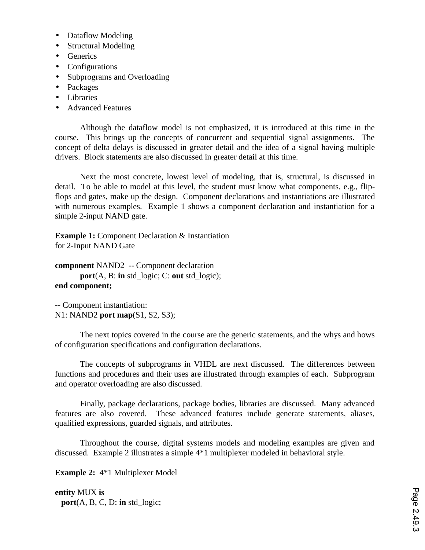- Dataflow Modeling
- Structural Modeling
- Generics
- Configurations
- Subprograms and Overloading
- Packages
- Libraries
- Advanced Features

Although the dataflow model is not emphasized, it is introduced at this time in the course. This brings up the concepts of concurrent and sequential signal assignments. The concept of delta delays is discussed in greater detail and the idea of a signal having multiple drivers. Block statements are also discussed in greater detail at this time.

Next the most concrete, lowest level of modeling, that is, structural, is discussed in detail. To be able to model at this level, the student must know what components, e.g., flipflops and gates, make up the design. Component declarations and instantiations are illustrated with numerous examples. Example 1 shows a component declaration and instantiation for a simple 2-input NAND gate.

**Example 1:** Component Declaration & Instantiation for 2-Input NAND Gate

**component** NAND2 -- Component declaration **port**(A, B: **in** std\_logic; C: **out** std\_logic); **end component;**

-- Component instantiation: N1: NAND2 **port map**(S1, S2, S3);

The next topics covered in the course are the generic statements, and the whys and hows of configuration specifications and configuration declarations.

The concepts of subprograms in VHDL are next discussed. The differences between functions and procedures and their uses are illustrated through examples of each. Subprogram and operator overloading are also discussed.

Finally, package declarations, package bodies, libraries are discussed. Many advanced features are also covered. These advanced features include generate statements, aliases, qualified expressions, guarded signals, and attributes.

Throughout the course, digital systems models and modeling examples are given and discussed. Example 2 illustrates a simple 4\*1 multiplexer modeled in behavioral style.

**Example 2:** 4\*1 Multiplexer Model

**entity** MUX **is port**(A, B, C, D: **in** std\_logic;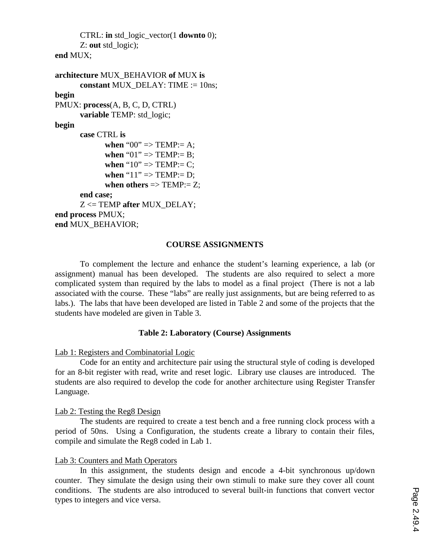CTRL: **in** std\_logic\_vector(1 **downto** 0); Z: **out** std\_logic); **end** MUX;

```
architecture MUX_BEHAVIOR of MUX is
      constant MUX_DELAY: TIME := 10ns;
begin
PMUX: process(A, B, C, D, CTRL)
      variable TEMP: std_logic;
begin
      case CTRL is
             when 00" \Rightarrow \text{TEMP} = A;
             when 01" \Rightarrow \text{TEMP} = B;
             when "10" => TEMP:= C;
             when "11" => TEMP:= D;
             when others \Rightarrow TEMP:= Z;
      end case;
      Z <= TEMP after MUX_DELAY;
end process PMUX;
end MUX_BEHAVIOR;
```
### **COURSE ASSIGNMENTS**

To complement the lecture and enhance the student's learning experience, a lab (or assignment) manual has been developed. The students are also required to select a more complicated system than required by the labs to model as a final project (There is not a lab associated with the course. These "labs" are really just assignments, but are being referred to as labs.). The labs that have been developed are listed in Table 2 and some of the projects that the students have modeled are given in Table 3.

# **Table 2: Laboratory (Course) Assignments**

### Lab 1: Registers and Combinatorial Logic

Code for an entity and architecture pair using the structural style of coding is developed for an 8-bit register with read, write and reset logic. Library use clauses are introduced. The students are also required to develop the code for another architecture using Register Transfer Language.

# Lab 2: Testing the Reg8 Design

The students are required to create a test bench and a free running clock process with a period of 50ns. Using a Configuration, the students create a library to contain their files, compile and simulate the Reg8 coded in Lab 1.

### Lab 3: Counters and Math Operators

In this assignment, the students design and encode a 4-bit synchronous up/down counter. They simulate the design using their own stimuli to make sure they cover all count conditions. The students are also introduced to several built-in functions that convert vector types to integers and vice versa.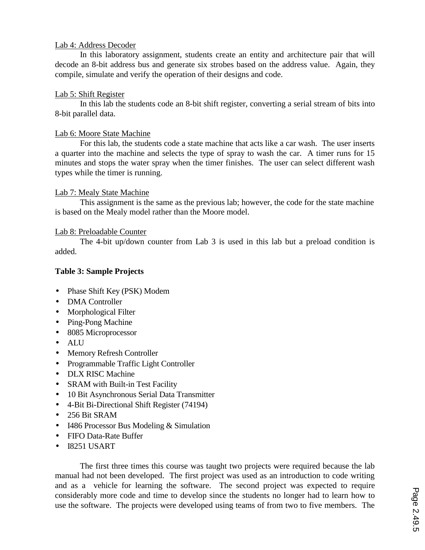## Lab 4: Address Decoder

In this laboratory assignment, students create an entity and architecture pair that will decode an 8-bit address bus and generate six strobes based on the address value. Again, they compile, simulate and verify the operation of their designs and code.

# Lab 5: Shift Register

In this lab the students code an 8-bit shift register, converting a serial stream of bits into 8-bit parallel data.

# Lab 6: Moore State Machine

For this lab, the students code a state machine that acts like a car wash. The user inserts a quarter into the machine and selects the type of spray to wash the car. A timer runs for 15 minutes and stops the water spray when the timer finishes. The user can select different wash types while the timer is running.

# Lab 7: Mealy State Machine

This assignment is the same as the previous lab; however, the code for the state machine is based on the Mealy model rather than the Moore model.

### Lab 8: Preloadable Counter

The 4-bit up/down counter from Lab 3 is used in this lab but a preload condition is added.

# **Table 3: Sample Projects**

- Phase Shift Key (PSK) Modem
- DMA Controller
- Morphological Filter
- Ping-Pong Machine
- 8085 Microprocessor
- ALU
- Memory Refresh Controller
- Programmable Traffic Light Controller
- DLX RISC Machine
- SRAM with Built-in Test Facility
- 10 Bit Asynchronous Serial Data Transmitter
- 4-Bit Bi-Directional Shift Register (74194)
- 256 Bit SRAM
- I486 Processor Bus Modeling & Simulation
- FIFO Data-Rate Buffer
- I8251 USART

The first three times this course was taught two projects were required because the lab manual had not been developed. The first project was used as an introduction to code writing and as a vehicle for learning the software. The second project was expected to require considerably more code and time to develop since the students no longer had to learn how to use the software. The projects were developed using teams of from two to five members. The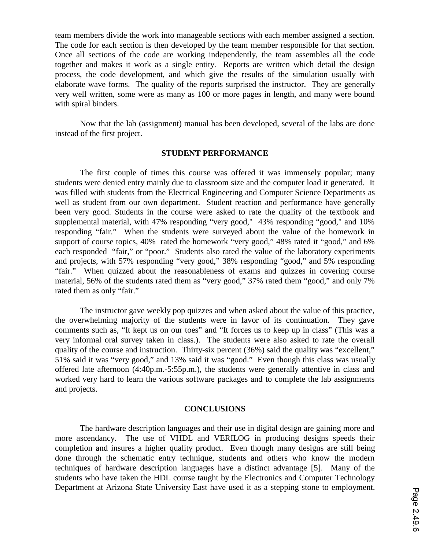team members divide the work into manageable sections with each member assigned a section. The code for each section is then developed by the team member responsible for that section. Once all sections of the code are working independently, the team assembles all the code together and makes it work as a single entity. Reports are written which detail the design process, the code development, and which give the results of the simulation usually with elaborate wave forms. The quality of the reports surprised the instructor. They are generally very well written, some were as many as 100 or more pages in length, and many were bound with spiral binders.

Now that the lab (assignment) manual has been developed, several of the labs are done instead of the first project.

#### **STUDENT PERFORMANCE**

The first couple of times this course was offered it was immensely popular; many students were denied entry mainly due to classroom size and the computer load it generated. It was filled with students from the Electrical Engineering and Computer Science Departments as well as student from our own department. Student reaction and performance have generally been very good. Students in the course were asked to rate the quality of the textbook and supplemental material, with 47% responding "very good," 43% responding "good," and 10% responding "fair." When the students were surveyed about the value of the homework in support of course topics, 40% rated the homework "very good," 48% rated it "good," and 6% each responded "fair," or "poor." Students also rated the value of the laboratory experiments and projects, with 57% responding "very good," 38% responding "good," and 5% responding "fair." When quizzed about the reasonableness of exams and quizzes in covering course material, 56% of the students rated them as "very good," 37% rated them "good," and only 7% rated them as only "fair."

The instructor gave weekly pop quizzes and when asked about the value of this practice, the overwhelming majority of the students were in favor of its continuation. They gave comments such as, "It kept us on our toes" and "It forces us to keep up in class" (This was a very informal oral survey taken in class.). The students were also asked to rate the overall quality of the course and instruction. Thirty-six percent (36%) said the quality was "excellent," 51% said it was "very good," and 13% said it was "good." Even though this class was usually offered late afternoon (4:40p.m.-5:55p.m.), the students were generally attentive in class and worked very hard to learn the various software packages and to complete the lab assignments and projects.

#### **CONCLUSIONS**

The hardware description languages and their use in digital design are gaining more and more ascendancy. The use of VHDL and VERILOG in producing designs speeds their completion and insures a higher quality product. Even though many designs are still being done through the schematic entry technique, students and others who know the modern techniques of hardware description languages have a distinct advantage [5]. Many of the students who have taken the HDL course taught by the Electronics and Computer Technology Department at Arizona State University East have used it as a stepping stone to employment.